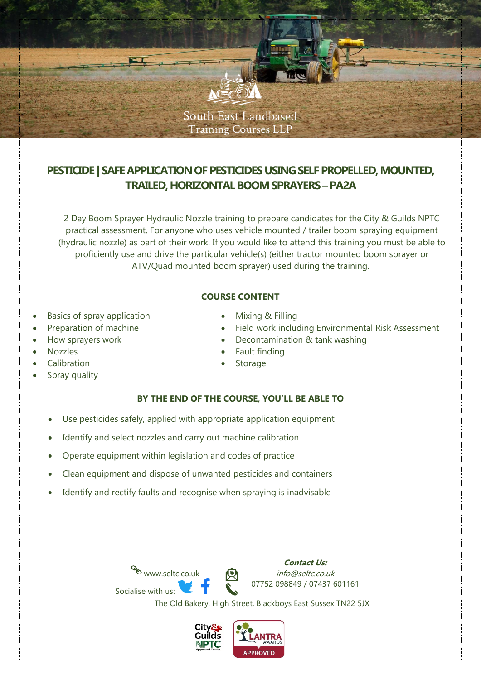

# **PESTICIDE** | SAFE APPLICATION OF PESTICIDES USING SELF PROPELLED, MOUNTED, **TRAILED, HORIZONTAL BOOM SPRAYERS–PA2A**

2 Day Boom Sprayer Hydraulic Nozzle training to prepare candidates for the City & Guilds NPTC practical assessment. For anyone who uses vehicle mounted / trailer boom spraying equipment (hydraulic nozzle) as part of their work. If you would like to attend this training you must be able to proficiently use and drive the particular vehicle(s) (either tractor mounted boom sprayer or ATV/Quad mounted boom sprayer) used during the training.

### **COURSE CONTENT**

- Basics of spray application
- Preparation of machine
- How sprayers work
- Nozzles
- Calibration
- Spray quality
- Mixing & Filling
- Field work including Environmental Risk Assessment
- Decontamination & tank washing
- Fault finding
- **Storage**

## **BY THE END OF THE COURSE, YOU'LL BE ABLE TO**

- Use pesticides safely, applied with appropriate application equipment
- Identify and select nozzles and carry out machine calibration
- Operate equipment within legislation and codes of practice
- Clean equipment and dispose of unwanted pesticides and containers
- Identify and rectify faults and recognise when spraying is inadvisable